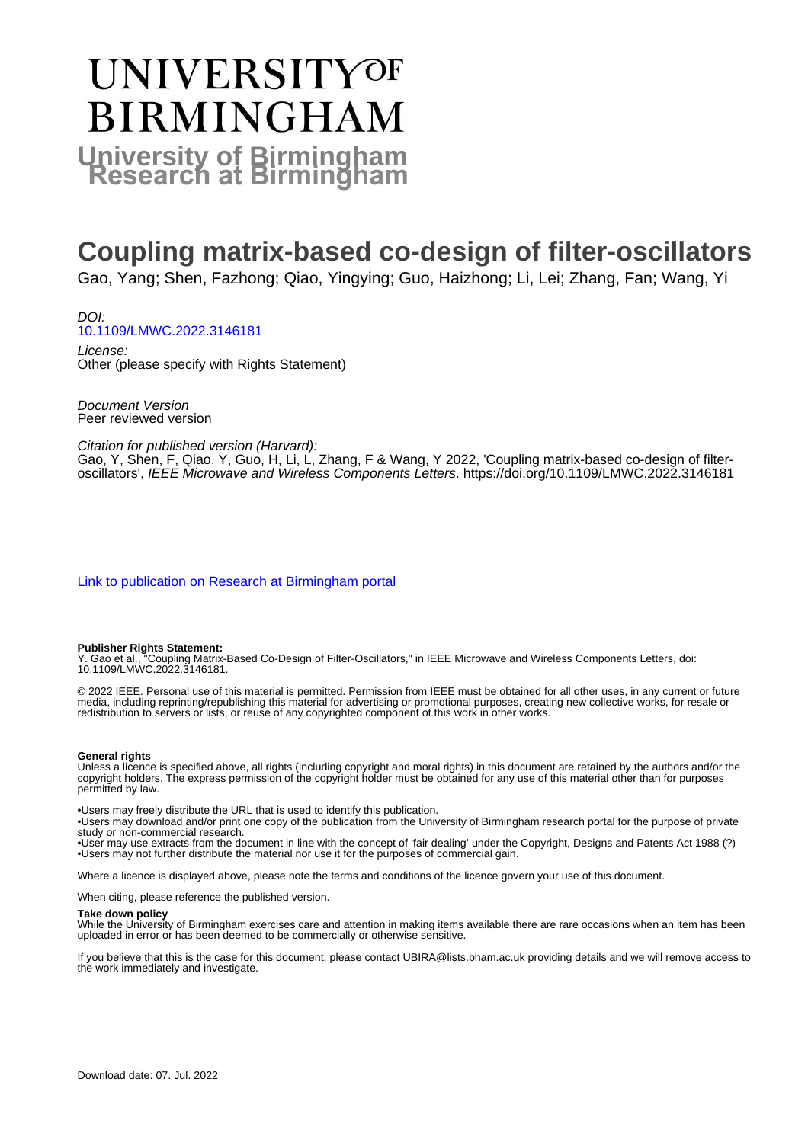# UNIVERSITYOF **BIRMINGHAM University of Birmingham**

### **Coupling matrix-based co-design of filter-oscillators**

Gao, Yang; Shen, Fazhong; Qiao, Yingying; Guo, Haizhong; Li, Lei; Zhang, Fan; Wang, Yi

DOI: [10.1109/LMWC.2022.3146181](https://doi.org/10.1109/LMWC.2022.3146181)

License: Other (please specify with Rights Statement)

Document Version Peer reviewed version

Citation for published version (Harvard):

Gao, Y, Shen, F, Qiao, Y, Guo, H, Li, L, Zhang, F & Wang, Y 2022, 'Coupling matrix-based co-design of filteroscillators', IEEE Microwave and Wireless Components Letters.<https://doi.org/10.1109/LMWC.2022.3146181>

[Link to publication on Research at Birmingham portal](https://birmingham.elsevierpure.com/en/publications/e71bf489-82cd-487b-9605-b69086516d25)

#### **Publisher Rights Statement:**

Y. Gao et al., "Coupling Matrix-Based Co-Design of Filter-Oscillators," in IEEE Microwave and Wireless Components Letters, doi: 10.1109/LMWC.2022.3146181.

© 2022 IEEE. Personal use of this material is permitted. Permission from IEEE must be obtained for all other uses, in any current or future media, including reprinting/republishing this material for advertising or promotional purposes, creating new collective works, for resale or redistribution to servers or lists, or reuse of any copyrighted component of this work in other works.

#### **General rights**

Unless a licence is specified above, all rights (including copyright and moral rights) in this document are retained by the authors and/or the copyright holders. The express permission of the copyright holder must be obtained for any use of this material other than for purposes permitted by law.

• Users may freely distribute the URL that is used to identify this publication.

• Users may download and/or print one copy of the publication from the University of Birmingham research portal for the purpose of private study or non-commercial research.

• User may use extracts from the document in line with the concept of 'fair dealing' under the Copyright, Designs and Patents Act 1988 (?) • Users may not further distribute the material nor use it for the purposes of commercial gain.

Where a licence is displayed above, please note the terms and conditions of the licence govern your use of this document.

When citing, please reference the published version.

#### **Take down policy**

While the University of Birmingham exercises care and attention in making items available there are rare occasions when an item has been uploaded in error or has been deemed to be commercially or otherwise sensitive.

If you believe that this is the case for this document, please contact UBIRA@lists.bham.ac.uk providing details and we will remove access to the work immediately and investigate.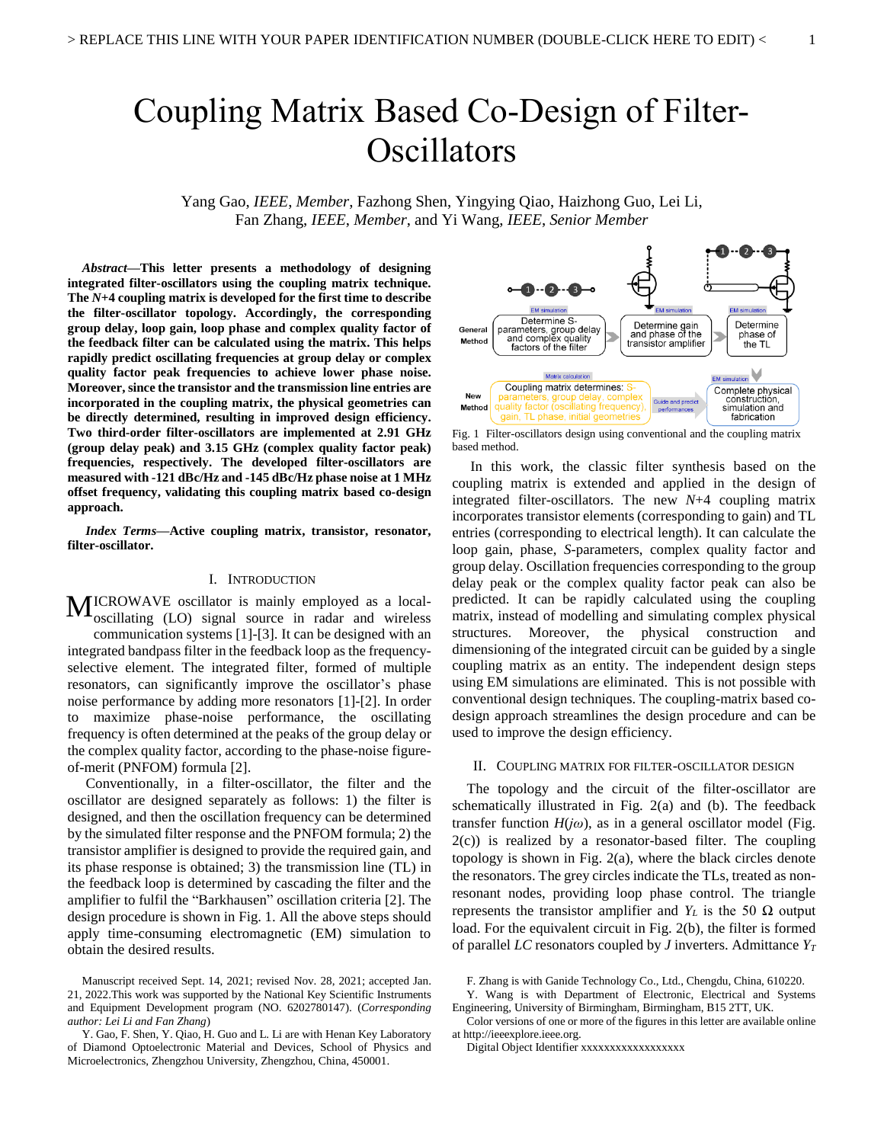## Coupling Matrix Based Co-Design of Filter-**Oscillators**

Yang Gao, *IEEE*, *Member*, Fazhong Shen, Yingying Qiao, Haizhong Guo, Lei Li, Fan Zhang, *IEEE*, *Member*, and Yi Wang, *IEEE*, *Senior Member*

*Abstract***—This letter presents a methodology of designing integrated filter-oscillators using the coupling matrix technique. The** *N***+4 coupling matrix is developed for the first time to describe the filter-oscillator topology. Accordingly, the corresponding group delay, loop gain, loop phase and complex quality factor of the feedback filter can be calculated using the matrix. This helps rapidly predict oscillating frequencies at group delay or complex quality factor peak frequencies to achieve lower phase noise. Moreover, since the transistor and the transmission line entries are incorporated in the coupling matrix, the physical geometries can be directly determined, resulting in improved design efficiency. Two third-order filter-oscillators are implemented at 2.91 GHz (group delay peak) and 3.15 GHz (complex quality factor peak) frequencies, respectively. The developed filter-oscillators are measured with -121 dBc/Hz and -145 dBc/Hz phase noise at 1 MHz offset frequency, validating this coupling matrix based co-design approach.**

*Index Terms***—Active coupling matrix, transistor, resonator, filter-oscillator.**

#### I. INTRODUCTION

ICROWAVE oscillator is mainly employed as a local-MICROWAVE oscillator is mainly employed as a local-<br>oscillating (LO) signal source in radar and wireless communication systems [1]-[3]. It can be designed with an integrated bandpass filter in the feedback loop as the frequencyselective element. The integrated filter, formed of multiple resonators, can significantly improve the oscillator's phase noise performance by adding more resonators [1]-[2]. In order to maximize phase-noise performance, the oscillating frequency is often determined at the peaks of the group delay or the complex quality factor, according to the phase-noise figureof-merit (PNFOM) formula [2].

Conventionally, in a filter-oscillator, the filter and the oscillator are designed separately as follows: 1) the filter is designed, and then the oscillation frequency can be determined by the simulated filter response and the PNFOM formula; 2) the transistor amplifier is designed to provide the required gain, and its phase response is obtained; 3) the transmission line (TL) in the feedback loop is determined by cascading the filter and the amplifier to fulfil the "Barkhausen" oscillation criteria [2]. The design procedure is shown in Fig. 1. All the above steps should apply time-consuming electromagnetic (EM) simulation to obtain the desired results.



Fig. 1 Filter-oscillators design using conventional and the coupling matrix based method.

In this work, the classic filter synthesis based on the coupling matrix is extended and applied in the design of integrated filter-oscillators. The new *N*+4 coupling matrix incorporates transistor elements (corresponding to gain) and TL entries (corresponding to electrical length). It can calculate the loop gain, phase, *S*-parameters, complex quality factor and group delay. Oscillation frequencies corresponding to the group delay peak or the complex quality factor peak can also be predicted. It can be rapidly calculated using the coupling matrix, instead of modelling and simulating complex physical structures. Moreover, the physical construction and dimensioning of the integrated circuit can be guided by a single coupling matrix as an entity. The independent design steps using EM simulations are eliminated. This is not possible with conventional design techniques. The coupling-matrix based codesign approach streamlines the design procedure and can be used to improve the design efficiency.

#### II. COUPLING MATRIX FOR FILTER-OSCILLATOR DESIGN

The topology and the circuit of the filter-oscillator are schematically illustrated in Fig. 2(a) and (b). The feedback transfer function *H*(*jω*), as in a general oscillator model (Fig.  $2(c)$ ) is realized by a resonator-based filter. The coupling topology is shown in Fig. 2(a), where the black circles denote the resonators. The grey circles indicate the TLs, treated as nonresonant nodes, providing loop phase control. The triangle represents the transistor amplifier and *Y*<sup>*L*</sup> is the 50 Ω output load. For the equivalent circuit in Fig. 2(b), the filter is formed of parallel *LC* resonators coupled by *J* inverters. Admittance *Y<sup>T</sup>*

Digital Object Identifier xxxxxxxxxxxxxxxxxx

Manuscript received Sept. 14, 2021; revised Nov. 28, 2021; accepted Jan. 21, 2022.This work was supported by the National Key Scientific Instruments and Equipment Development program (NO. 6202780147). (*Corresponding author: Lei Li and Fan Zhang*)

Y. Gao, F. Shen, Y. Qiao, H. Guo and L. Li are with Henan Key Laboratory of Diamond Optoelectronic Material and Devices, School of Physics and Microelectronics, Zhengzhou University, Zhengzhou, China, 450001.

F. Zhang is with Ganide Technology Co., Ltd., Chengdu, China, 610220.

Y. Wang is with Department of Electronic, Electrical and Systems Engineering, University of Birmingham, Birmingham, B15 2TT, UK.

Color versions of one or more of the figures in this letter are available online at http://ieeexplore.ieee.org.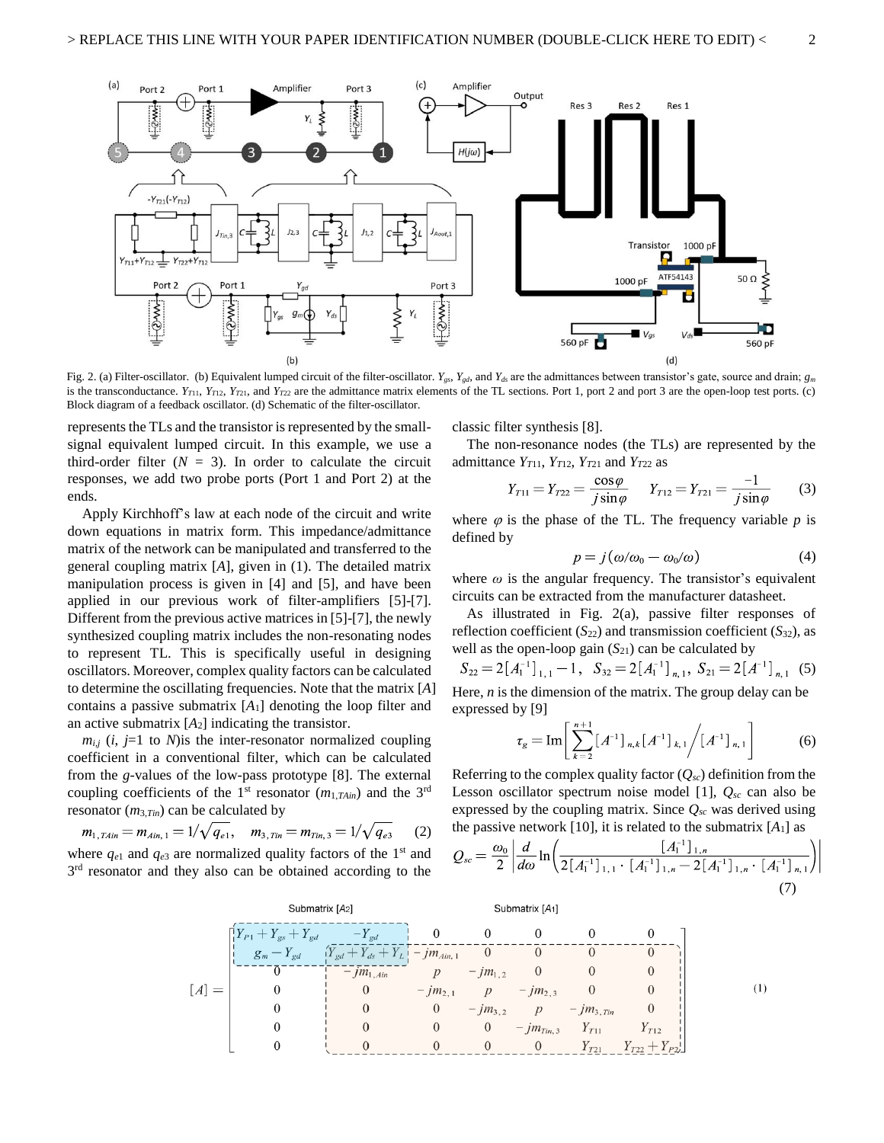

Fig. 2. (a) Filter-oscillator. (b) Equivalent lumped circuit of the filter-oscillator.  $Y_{gs}$ ,  $Y_{gd}$  and  $Y_{ds}$  are the admittances between transistor's gate, source and drain;  $g_m$ is the transconductance.  $Y_{T11}, Y_{T12}, Y_{T21}$ , and  $Y_{T22}$  are the admittance matrix elements of the TL sections. Port 1, port 2 and port 3 are the open-loop test ports. (c) Block diagram of a feedback oscillator. (d) Schematic of the filter-oscillator.

represents the TLs and the transistor is represented by the smallsignal equivalent lumped circuit. In this example, we use a third-order filter  $(N = 3)$ . In order to calculate the circuit responses, we add two probe ports (Port 1 and Port 2) at the ends.

Apply Kirchhoff's law at each node of the circuit and write down equations in matrix form. This impedance/admittance matrix of the network can be manipulated and transferred to the general coupling matrix [*A*], given in (1). The detailed matrix manipulation process is given in [4] and [5], and have been applied in our previous work of filter-amplifiers [5]-[7]. Different from the previous active matrices in [5]-[7], the newly synthesized coupling matrix includes the non-resonating nodes to represent TL. This is specifically useful in designing oscillators. Moreover, complex quality factors can be calculated to determine the oscillating frequencies. Note that the matrix [*A*] contains a passive submatrix [*A*1] denoting the loop filter and an active submatrix [*A*2] indicating the transistor.

 $m_{i,j}$  (*i*, *j*=1 to *N*) is the inter-resonator normalized coupling coefficient in a conventional filter, which can be calculated from the *g*-values of the low-pass prototype [8]. The external coupling coefficients of the 1<sup>st</sup> resonator  $(m_{1, T A in})$  and the 3<sup>rd</sup> resonator (*m*3,*Tin*) can be calculated by

$$
m_{1, T A i n} = m_{A i n, 1} = 1/\sqrt{q_{e 1}}, \quad m_{3, T i n} = m_{T i n, 3} = 1/\sqrt{q_{e 3}}
$$
 (2)  
where  $q_{e 1}$  and  $q_{e 3}$  are normalized quality factors of the 1<sup>st</sup> and

3<sup>rd</sup> resonator and they also can be obtained according to the

classic filter synthesis [8].

The non-resonance nodes (the TLs) are represented by the admittance  $Y_{T11}$ ,  $Y_{T12}$ ,  $Y_{T21}$  and  $Y_{T22}$  as

$$
Y_{T11} = Y_{T22} = \frac{\cos \varphi}{j \sin \varphi} \qquad Y_{T12} = Y_{T21} = \frac{-1}{j \sin \varphi} \tag{3}
$$

where  $\varphi$  is the phase of the TL. The frequency variable  $p$  is defined by

$$
p = j(\omega/\omega_0 - \omega_0/\omega) \tag{4}
$$

where  $\omega$  is the angular frequency. The transistor's equivalent circuits can be extracted from the manufacturer datasheet.

As illustrated in Fig. 2(a), passive filter responses of reflection coefficient  $(S_{22})$  and transmission coefficient  $(S_{32})$ , as well as the open-loop gain  $(S_{21})$  can be calculated by

$$
S_{22} = 2[A_1^{-1}]_{1,1} - 1
$$
,  $S_{32} = 2[A_1^{-1}]_{n,1}$ ,  $S_{21} = 2[A^{-1}]_{n,1}$  (5)  
Here, *n* is the dimension of the matrix. The group delay can be

expressed by [9]

$$
\tau_g = \operatorname{Im} \left[ \sum_{k=2}^{n+1} \left[ A^{-1} \right]_{n,k} \left[ A^{-1} \right]_{k,1} / \left[ A^{-1} \right]_{n,1} \right] \tag{6}
$$

Referring to the complex quality factor  $(Q_{sc})$  definition from the Lesson oscillator spectrum noise model [1], *Qsc* can also be expressed by the coupling matrix. Since *Qsc* was derived using the passive network [10], it is related to the submatrix  $[A_1]$  as

$$
Q_{sc} = \frac{\omega_0}{2} \left| \frac{d}{d\omega} \ln \left( \frac{[A_1^{-1}]_{1,n}}{2[A_1^{-1}]_{1,1} \cdot [A_1^{-1}]_{1,n} - 2[A_1^{-1}]_{1,n} \cdot [A_1^{-1}]_{n,1}} \right) \right|
$$
\n(7)

|        | Submatrix [A2]                                                                                                                    |                                      |                           | Submatrix [A <sub>1</sub> ] |                                  |                               |                              |  |
|--------|-----------------------------------------------------------------------------------------------------------------------------------|--------------------------------------|---------------------------|-----------------------------|----------------------------------|-------------------------------|------------------------------|--|
|        |                                                                                                                                   |                                      |                           |                             |                                  |                               |                              |  |
|        | $\begin{bmatrix} Y_{P1} + Y_{gs} + Y_{gd} & -Y_{gd} & 0 \\ g_m - Y_{gd} & (Y_{gd} + Y_{ds} + Y_L) & -m_{Aim,1} & 0 \end{bmatrix}$ |                                      |                           |                             |                                  |                               |                              |  |
|        |                                                                                                                                   | $-\bar{j}m_{1,4in}$ $p - jm_{1,2}$ 0 |                           |                             |                                  |                               |                              |  |
| $ A =$ |                                                                                                                                   | $\overline{0}$                       | $-jm_{2,1}$ p $-jm_{2,3}$ |                             |                                  |                               |                              |  |
|        | $\theta$                                                                                                                          | $\theta$                             |                           |                             |                                  | 0 $-jm_{3,2}$ p $-jm_{3,Tin}$ |                              |  |
|        |                                                                                                                                   | $\theta$                             | $\theta$                  |                             |                                  | 0 $-jm_{Tin,3}$ $Y_{T11}$     | $Y_{T12}$                    |  |
|        |                                                                                                                                   |                                      | $\Omega$                  | $\theta$                    | $\begin{array}{c} 0 \end{array}$ |                               | $Y_{T21}$ $Y_{T22} + Y_{P2}$ |  |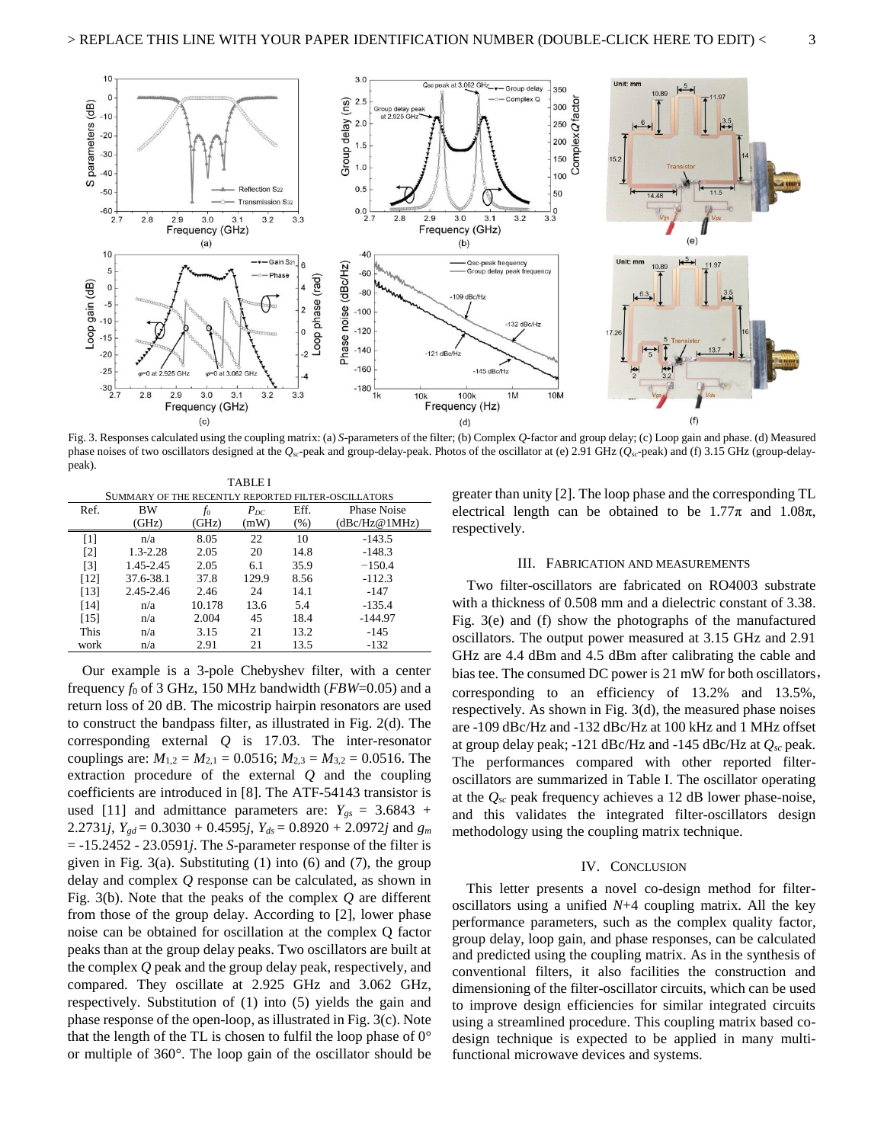

Fig. 3. Responses calculated using the coupling matrix: (a) *S*-parameters of the filter; (b) Complex *Q*-factor and group delay; (c) Loop gain and phase. (d) Measured phase noises of two oscillators designed at the *Qsc*-peak and group-delay-peak. Photos of the oscillator at (e) 2.91 GHz (*Qsc*-peak) and (f) 3.15 GHz (group-delaypeak).

TABLE I SUMMARY OF THE RECENTLY REPORTED FILTER-OSCILLATORS

| Ref.              | BW           | $f_0$  | $P_{DC}$ | Eff.   | Phase Noise   |  |  |  |  |  |
|-------------------|--------------|--------|----------|--------|---------------|--|--|--|--|--|
|                   | (GHz)        | (GHz)  | (mW)     | $(\%)$ | (dBc/Hz@1MHz) |  |  |  |  |  |
| $\lceil 1 \rceil$ | n/a          | 8.05   | 22       | 10     | $-143.5$      |  |  |  |  |  |
| $\lceil 2 \rceil$ | $1.3 - 2.28$ | 2.05   | 20       | 14.8   | $-148.3$      |  |  |  |  |  |
| $\lceil 3 \rceil$ | 1.45-2.45    | 2.05   | 6.1      | 35.9   | $-150.4$      |  |  |  |  |  |
| [12]              | 37.6-38.1    | 37.8   | 129.9    | 8.56   | $-112.3$      |  |  |  |  |  |
| [13]              | 2.45-2.46    | 2.46   | 24       | 14.1   | $-147$        |  |  |  |  |  |
| [14]              | n/a          | 10.178 | 13.6     | 5.4    | $-135.4$      |  |  |  |  |  |
| [15]              | n/a          | 2.004  | 45       | 18.4   | $-144.97$     |  |  |  |  |  |
| This              | n/a          | 3.15   | 21       | 13.2   | $-145$        |  |  |  |  |  |
| work              | n/a          | 2.91   | 21       | 13.5   | $-132$        |  |  |  |  |  |
|                   |              |        |          |        |               |  |  |  |  |  |

Our example is a 3-pole Chebyshev filter, with a center frequency *f*<sup>0</sup> of 3 GHz, 150 MHz bandwidth (*FBW*=0.05) and a return loss of 20 dB. The micostrip hairpin resonators are used to construct the bandpass filter, as illustrated in Fig. 2(d). The corresponding external *Q* is 17.03. The inter-resonator couplings are:  $M_{1,2} = M_{2,1} = 0.0516$ ;  $M_{2,3} = M_{3,2} = 0.0516$ . The extraction procedure of the external *Q* and the coupling coefficients are introduced in [8]. The ATF-54143 transistor is used [11] and admittance parameters are:  $Y_{gs} = 3.6843 +$ 2.2731*j*,  $Y_{gd} = 0.3030 + 0.4595j$ ,  $Y_{ds} = 0.8920 + 2.0972j$  and  $g_m$ = -15.2452 - 23.0591*j*. The *S*-parameter response of the filter is given in Fig. 3(a). Substituting  $(1)$  into  $(6)$  and  $(7)$ , the group delay and complex *Q* response can be calculated, as shown in Fig. 3(b). Note that the peaks of the complex *Q* are different from those of the group delay. According to [2], lower phase noise can be obtained for oscillation at the complex Q factor peaks than at the group delay peaks. Two oscillators are built at the complex *Q* peak and the group delay peak, respectively, and compared. They oscillate at 2.925 GHz and 3.062 GHz, respectively. Substitution of (1) into (5) yields the gain and phase response of the open-loop, as illustrated in Fig. 3(c). Note that the length of the TL is chosen to fulfil the loop phase of  $0^{\circ}$ or multiple of 360°. The loop gain of the oscillator should be

greater than unity [2]. The loop phase and the corresponding TL electrical length can be obtained to be  $1.77\pi$  and  $1.08\pi$ , respectively.

#### III. FABRICATION AND MEASUREMENTS

Two filter-oscillators are fabricated on RO4003 substrate with a thickness of 0.508 mm and a dielectric constant of 3.38. Fig. 3(e) and (f) show the photographs of the manufactured oscillators. The output power measured at 3.15 GHz and 2.91 GHz are 4.4 dBm and 4.5 dBm after calibrating the cable and bias tee. The consumed DC power is 21 mW for both oscillators, corresponding to an efficiency of 13.2% and 13.5%, respectively. As shown in Fig. 3(d), the measured phase noises are -109 dBc/Hz and -132 dBc/Hz at 100 kHz and 1 MHz offset at group delay peak; -121 dBc/Hz and -145 dBc/Hz at *Qsc* peak. The performances compared with other reported filteroscillators are summarized in Table I. The oscillator operating at the *Qsc* peak frequency achieves a 12 dB lower phase-noise, and this validates the integrated filter-oscillators design methodology using the coupling matrix technique.

#### IV. CONCLUSION

This letter presents a novel co-design method for filteroscillators using a unified *N*+4 coupling matrix. All the key performance parameters, such as the complex quality factor, group delay, loop gain, and phase responses, can be calculated and predicted using the coupling matrix. As in the synthesis of conventional filters, it also facilities the construction and dimensioning of the filter-oscillator circuits, which can be used to improve design efficiencies for similar integrated circuits using a streamlined procedure. This coupling matrix based codesign technique is expected to be applied in many multifunctional microwave devices and systems.